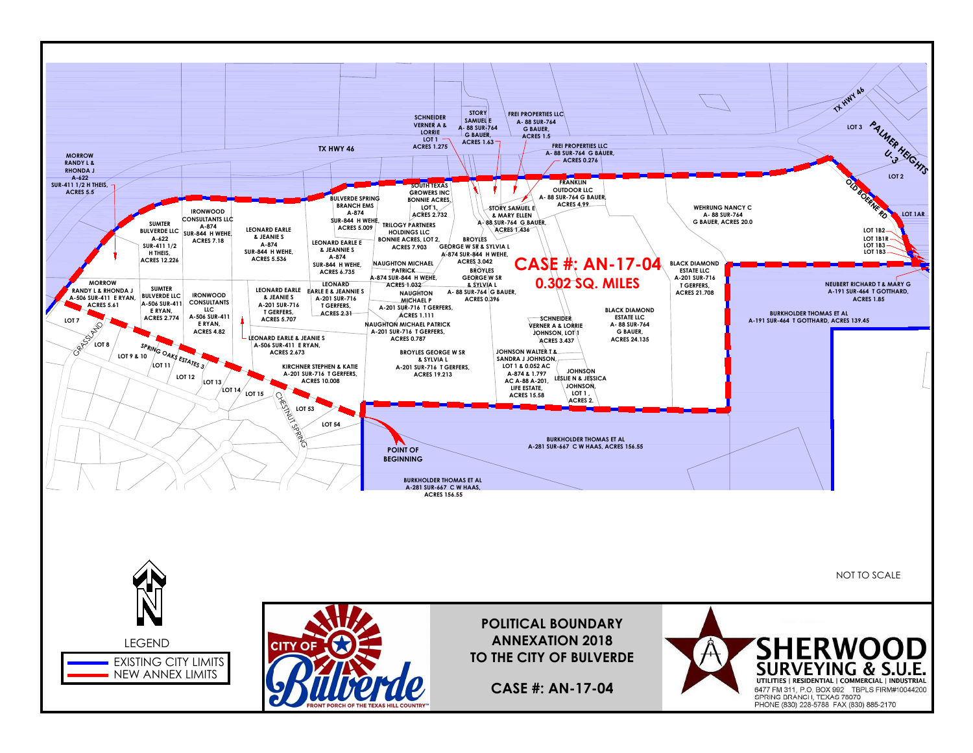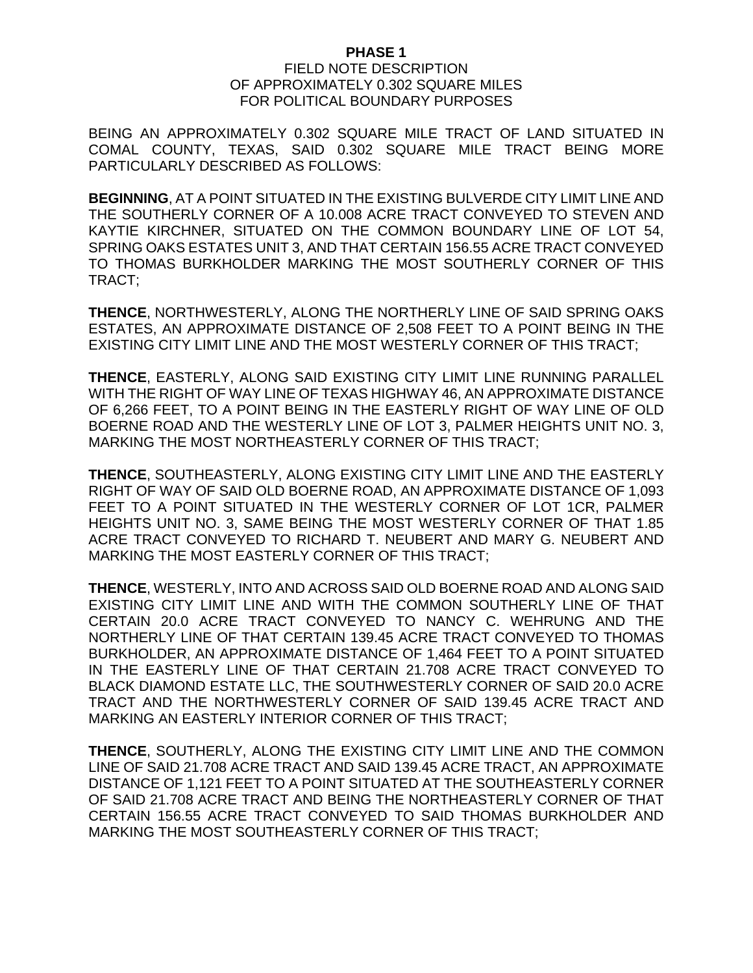## **PHASE 1**

## FIELD NOTE DESCRIPTION OF APPROXIMATELY 0.302 SQUARE MILES FOR POLITICAL BOUNDARY PURPOSES

BEING AN APPROXIMATELY 0.302 SQUARE MILE TRACT OF LAND SITUATED IN COMAL COUNTY, TEXAS, SAID 0.302 SQUARE MILE TRACT BEING MORE PARTICULARLY DESCRIBED AS FOLLOWS:

**BEGINNING**, AT A POINT SITUATED IN THE EXISTING BULVERDE CITY LIMIT LINE AND THE SOUTHERLY CORNER OF A 10.008 ACRE TRACT CONVEYED TO STEVEN AND KAYTIE KIRCHNER, SITUATED ON THE COMMON BOUNDARY LINE OF LOT 54, SPRING OAKS ESTATES UNIT 3, AND THAT CERTAIN 156.55 ACRE TRACT CONVEYED TO THOMAS BURKHOLDER MARKING THE MOST SOUTHERLY CORNER OF THIS TRACT;

**THENCE**, NORTHWESTERLY, ALONG THE NORTHERLY LINE OF SAID SPRING OAKS ESTATES, AN APPROXIMATE DISTANCE OF 2,508 FEET TO A POINT BEING IN THE EXISTING CITY LIMIT LINE AND THE MOST WESTERLY CORNER OF THIS TRACT;

**THENCE**, EASTERLY, ALONG SAID EXISTING CITY LIMIT LINE RUNNING PARALLEL WITH THE RIGHT OF WAY LINE OF TEXAS HIGHWAY 46, AN APPROXIMATE DISTANCE OF 6,266 FEET, TO A POINT BEING IN THE EASTERLY RIGHT OF WAY LINE OF OLD BOERNE ROAD AND THE WESTERLY LINE OF LOT 3, PALMER HEIGHTS UNIT NO. 3, MARKING THE MOST NORTHEASTERLY CORNER OF THIS TRACT;

**THENCE**, SOUTHEASTERLY, ALONG EXISTING CITY LIMIT LINE AND THE EASTERLY RIGHT OF WAY OF SAID OLD BOERNE ROAD, AN APPROXIMATE DISTANCE OF 1,093 FEET TO A POINT SITUATED IN THE WESTERLY CORNER OF LOT 1CR, PALMER HEIGHTS UNIT NO. 3, SAME BEING THE MOST WESTERLY CORNER OF THAT 1.85 ACRE TRACT CONVEYED TO RICHARD T. NEUBERT AND MARY G. NEUBERT AND MARKING THE MOST EASTERLY CORNER OF THIS TRACT;

**THENCE**, WESTERLY, INTO AND ACROSS SAID OLD BOERNE ROAD AND ALONG SAID EXISTING CITY LIMIT LINE AND WITH THE COMMON SOUTHERLY LINE OF THAT CERTAIN 20.0 ACRE TRACT CONVEYED TO NANCY C. WEHRUNG AND THE NORTHERLY LINE OF THAT CERTAIN 139.45 ACRE TRACT CONVEYED TO THOMAS BURKHOLDER, AN APPROXIMATE DISTANCE OF 1,464 FEET TO A POINT SITUATED IN THE EASTERLY LINE OF THAT CERTAIN 21.708 ACRE TRACT CONVEYED TO BLACK DIAMOND ESTATE LLC, THE SOUTHWESTERLY CORNER OF SAID 20.0 ACRE TRACT AND THE NORTHWESTERLY CORNER OF SAID 139.45 ACRE TRACT AND MARKING AN EASTERLY INTERIOR CORNER OF THIS TRACT;

**THENCE**, SOUTHERLY, ALONG THE EXISTING CITY LIMIT LINE AND THE COMMON LINE OF SAID 21.708 ACRE TRACT AND SAID 139.45 ACRE TRACT, AN APPROXIMATE DISTANCE OF 1,121 FEET TO A POINT SITUATED AT THE SOUTHEASTERLY CORNER OF SAID 21.708 ACRE TRACT AND BEING THE NORTHEASTERLY CORNER OF THAT CERTAIN 156.55 ACRE TRACT CONVEYED TO SAID THOMAS BURKHOLDER AND MARKING THE MOST SOUTHEASTERLY CORNER OF THIS TRACT;